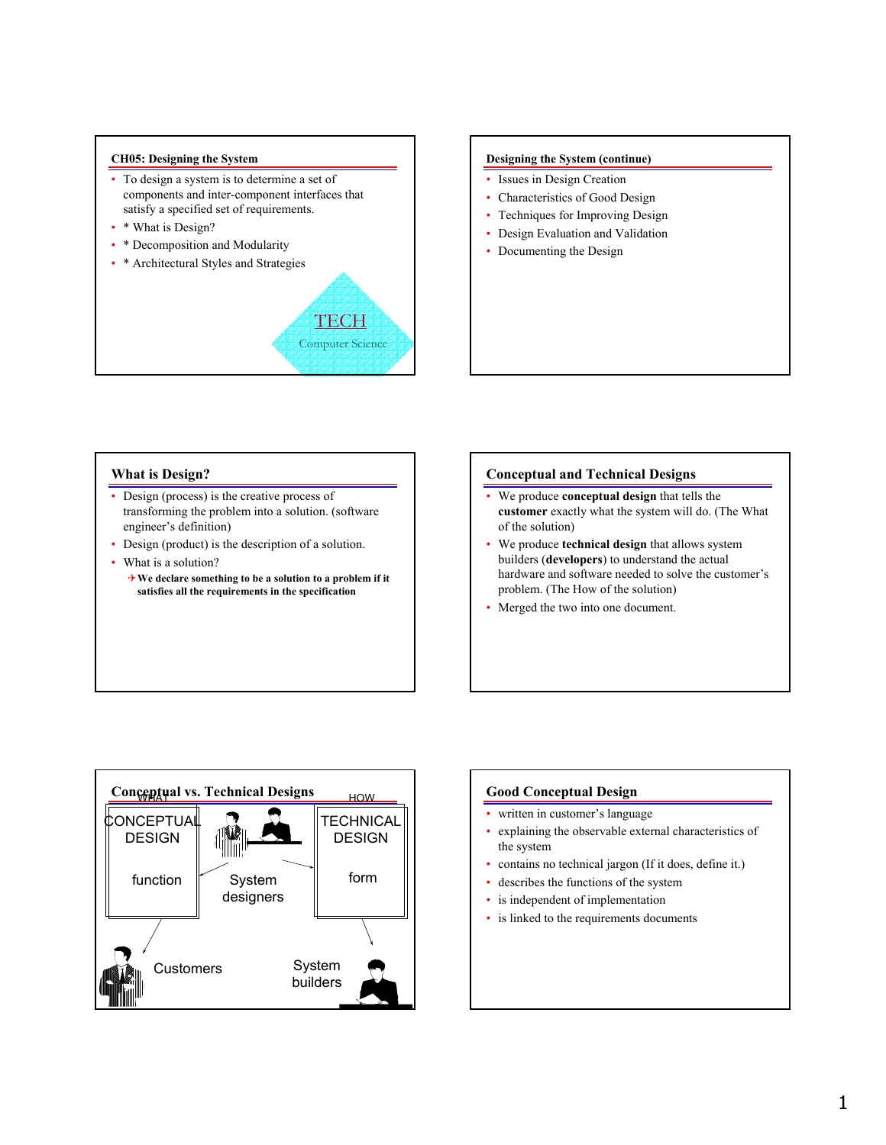#### **CH05: Designing the System**

- To design a system is to determine a set of components and inter-component interfaces that satisfy a specified set of requirements.
- \* What is Design?
- \* Decomposition and Modularity
- \* Architectural Styles and Strategies



#### **Designing the System (continue)**

- Issues in Design Creation
- Characteristics of Good Design
- Techniques for Improving Design
- Design Evaluation and Validation
- Documenting the Design

# **What is Design?**

- Design (process) is the creative process of transforming the problem into a solution. (software engineer's definition)
- Design (product) is the description of a solution.
- What is a solution?
	- 4**We declare something to be a solution to a problem if it satisfies all the requirements in the specification**

# **Conceptual and Technical Designs**

- We produce **conceptual design** that tells the **customer** exactly what the system will do. (The What of the solution)
- We produce **technical design** that allows system builders (**developers**) to understand the actual hardware and software needed to solve the customer's problem. (The How of the solution)
- Merged the two into one document.



### **Good Conceptual Design**

- written in customer's language
- explaining the observable external characteristics of the system
- contains no technical jargon (If it does, define it.)
- describes the functions of the system
- is independent of implementation
- is linked to the requirements documents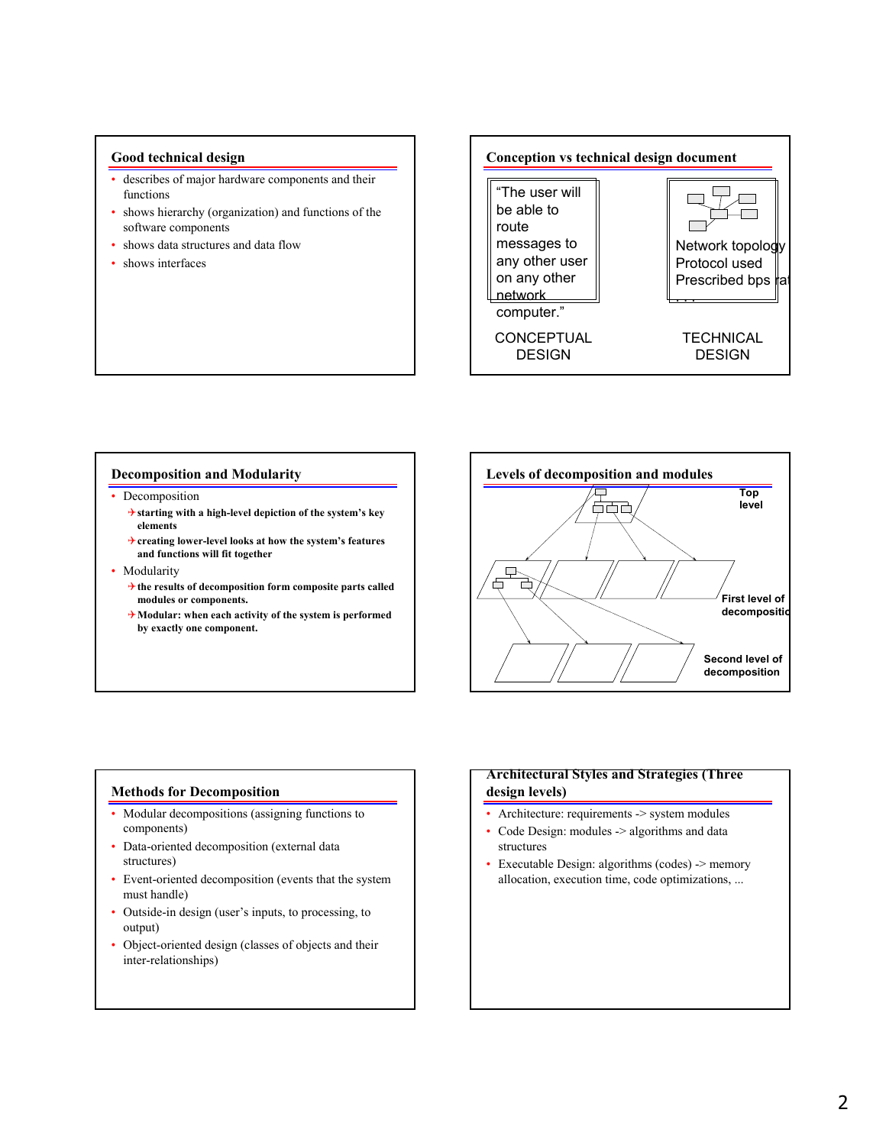## **Good technical design**

- describes of major hardware components and their functions
- shows hierarchy (organization) and functions of the software components
- shows data structures and data flow
- shows interfaces

# **Conception vs technical design document**

"The user will be able to route messages to any other user on any other network computer."

**CONCEPTUAL** DESIGN



#### **Decomposition and Modularity**

- **Decomposition** 
	- 4**starting with a high-level depiction of the system's key elements**
	- 4**creating lower-level looks at how the system's features and functions will fit together**
- Modularity
	- 4**the results of decomposition form composite parts called modules or components.**
	- 4**Modular: when each activity of the system is performed by exactly one component.**



### **Methods for Decomposition**

- Modular decompositions (assigning functions to components)
- Data-oriented decomposition (external data structures)
- Event-oriented decomposition (events that the system must handle)
- Outside-in design (user's inputs, to processing, to output)
- Object-oriented design (classes of objects and their inter-relationships)

# **Architectural Styles and Strategies (Three design levels)**

- Architecture: requirements -> system modules
- Code Design: modules -> algorithms and data structures
- Executable Design: algorithms (codes) -> memory allocation, execution time, code optimizations, ...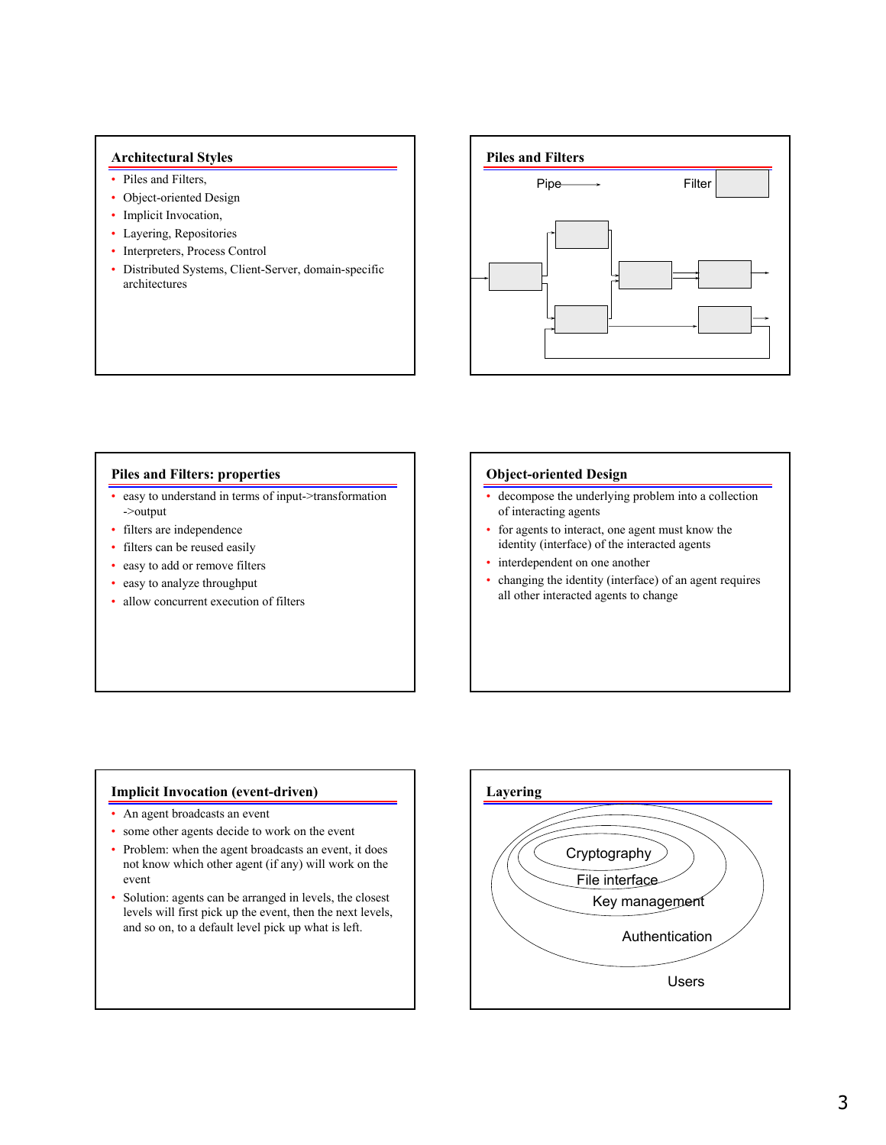## **Architectural Styles**

- Piles and Filters,
- Object-oriented Design
- Implicit Invocation,
- Layering, Repositories
- Interpreters, Process Control
- Distributed Systems, Client-Server, domain-specific architectures



# **Piles and Filters: properties**

- easy to understand in terms of input->transformation ->output
- filters are independence
- filters can be reused easily
- easy to add or remove filters
- easy to analyze throughput
- allow concurrent execution of filters

# **Object-oriented Design**

- decompose the underlying problem into a collection of interacting agents
- for agents to interact, one agent must know the identity (interface) of the interacted agents
- interdependent on one another
- changing the identity (interface) of an agent requires all other interacted agents to change

# **Implicit Invocation (event-driven)**

- An agent broadcasts an event
- some other agents decide to work on the event
- Problem: when the agent broadcasts an event, it does not know which other agent (if any) will work on the event
- Solution: agents can be arranged in levels, the closest levels will first pick up the event, then the next levels, and so on, to a default level pick up what is left.

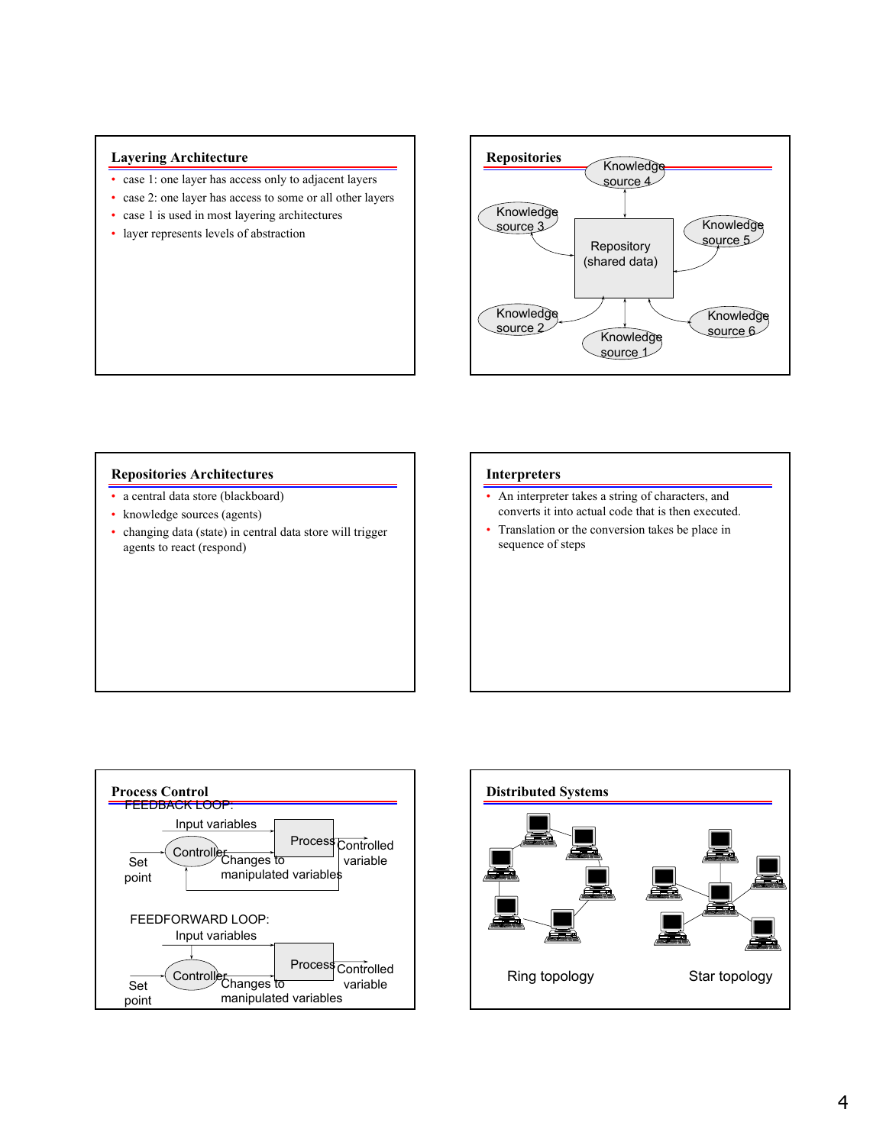# **Layering Architecture**

- case 1: one layer has access only to adjacent layers
- case 2: one layer has access to some or all other layers
- case 1 is used in most layering architectures
- layer represents levels of abstraction



# **Repositories Architectures**

- a central data store (blackboard)
- knowledge sources (agents)
- changing data (state) in central data store will trigger agents to react (respond)

#### **Interpreters**

- An interpreter takes a string of characters, and converts it into actual code that is then executed.
- Translation or the conversion takes be place in sequence of steps



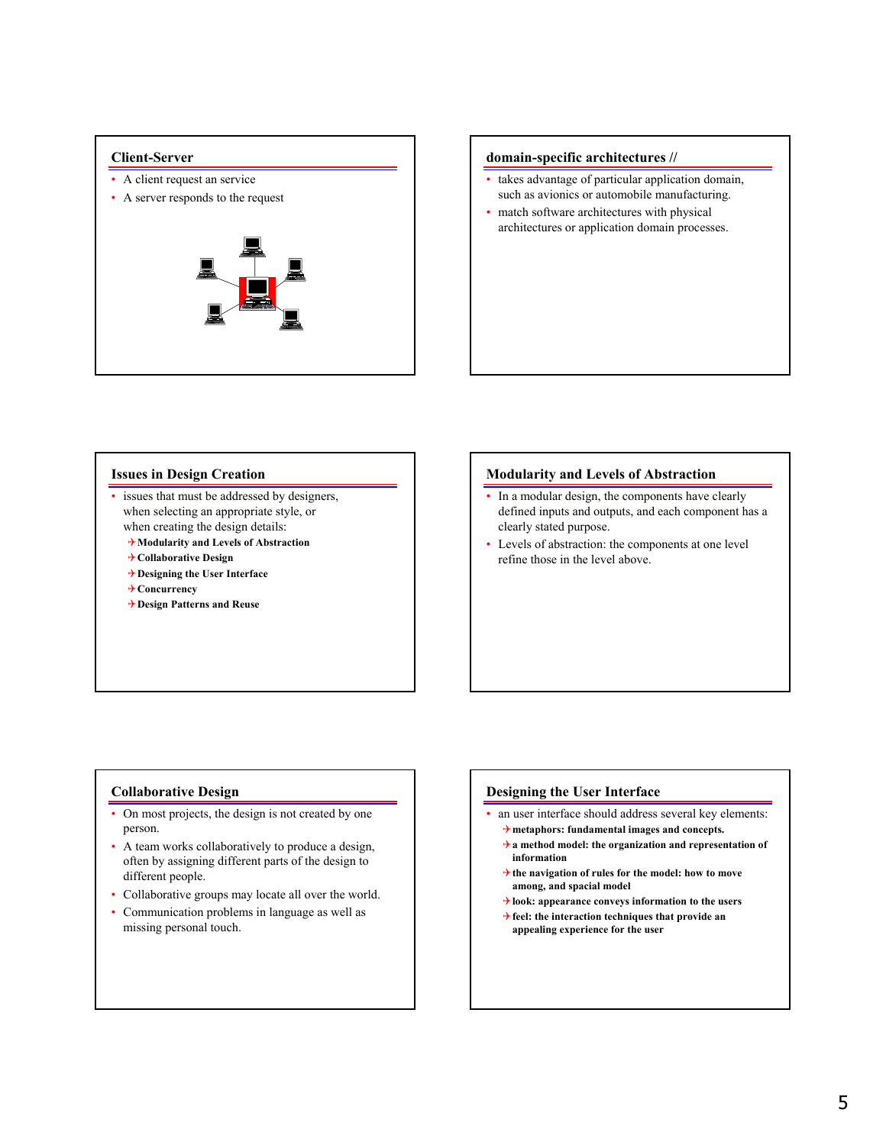- A client request an service
- A server responds to the request



# **Client-Server domain-specific architectures // domain-specific architectures** //

- takes advantage of particular application domain, such as avionics or automobile manufacturing.
- match software architectures with physical architectures or application domain processes.

# **Issues in Design Creation**

- issues that must be addressed by designers, when selecting an appropriate style, or when creating the design details:
	- 4**Modularity and Levels of Abstraction**
	- 4**Collaborative Design**
	- 4**Designing the User Interface**
	- 4**Concurrency**
	- 4**Design Patterns and Reuse**

# **Modularity and Levels of Abstraction**

- In a modular design, the components have clearly defined inputs and outputs, and each component has a clearly stated purpose.
- Levels of abstraction: the components at one level refine those in the level above.

# **Collaborative Design**

- On most projects, the design is not created by one person.
- A team works collaboratively to produce a design, often by assigning different parts of the design to different people.
- Collaborative groups may locate all over the world.
- Communication problems in language as well as missing personal touch.

# **Designing the User Interface**

- an user interface should address several key elements: 4**metaphors: fundamental images and concepts.**
	- 4**a method model: the organization and representation of information**
	- 4**the navigation of rules for the model: how to move among, and spacial model**
	- 4**look: appearance conveys information to the users**
	- 4**feel: the interaction techniques that provide an appealing experience for the user**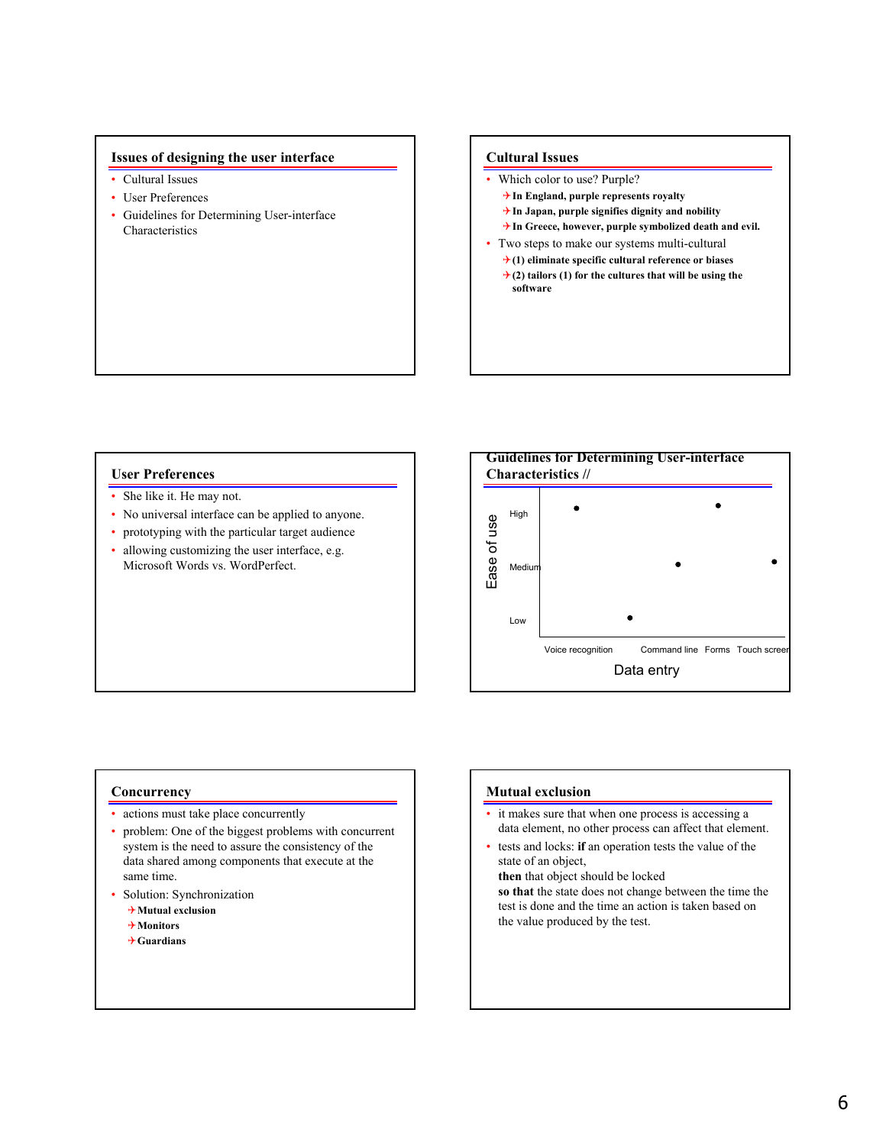# **Issues of designing the user interface**

- Cultural Issues
- User Preferences
- Guidelines for Determining User-interface **Characteristics**

#### **Cultural Issues**

- Which color to use? Purple?
	- 4**In England, purple represents royalty**
	- 4**In Japan, purple signifies dignity and nobility**
	- 4**In Greece, however, purple symbolized death and evil.**
- Two steps to make our systems multi-cultural
	- 4**(1) eliminate specific cultural reference or biases**
	- $\rightarrow$  (2) tailors (1) for the cultures that will be using the **software**

### **User Preferences**

- She like it. He may not.
- No universal interface can be applied to anyone.
- prototyping with the particular target audience
- allowing customizing the user interface, e.g. Microsoft Words vs. WordPerfect.



#### **Concurrency**

- actions must take place concurrently
- problem: One of the biggest problems with concurrent system is the need to assure the consistency of the data shared among components that execute at the same time.
- Solution: Synchronization
	- 4**Mutual exclusion**
	- 4**Monitors**
	- 4**Guardians**

# **Mutual exclusion**

- it makes sure that when one process is accessing a data element, no other process can affect that element.
- tests and locks: **if** an operation tests the value of the state of an object,

**then** that object should be locked **so that** the state does not change between the time the test is done and the time an action is taken based on the value produced by the test.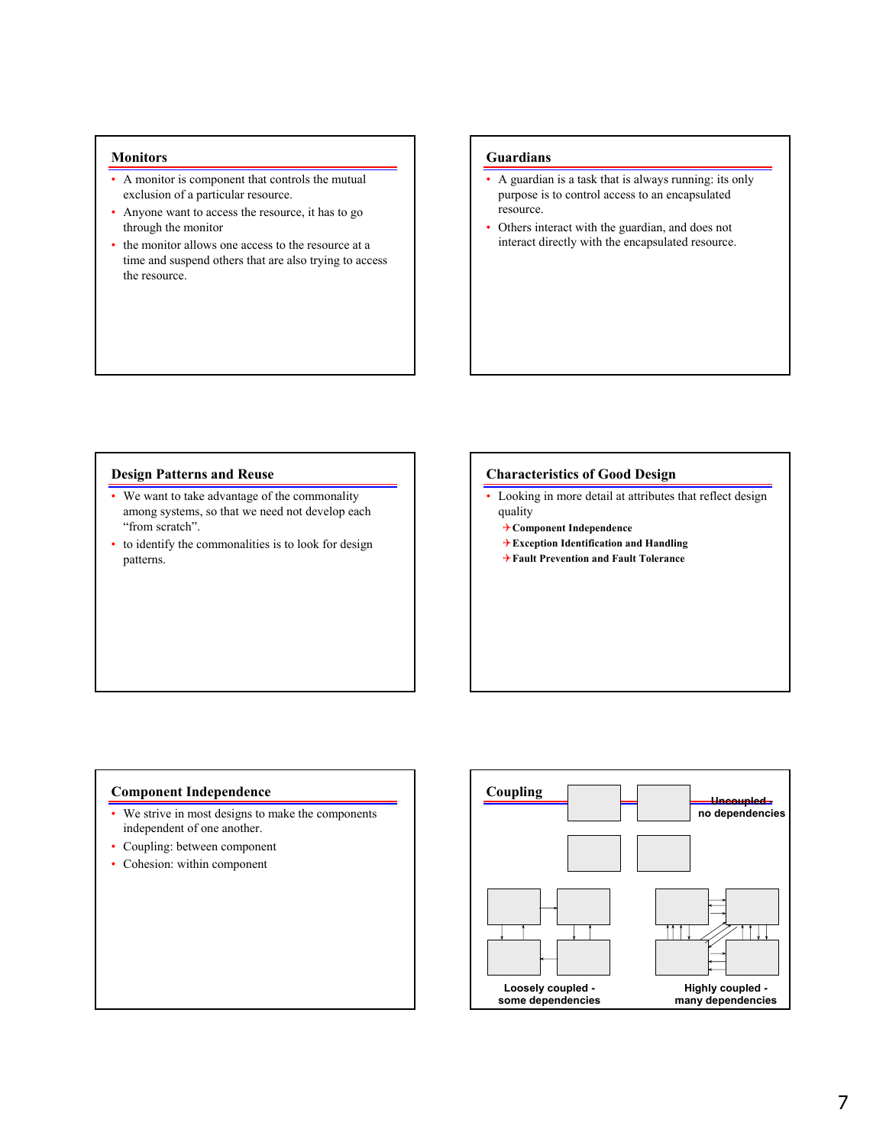#### **Monitors**

- A monitor is component that controls the mutual exclusion of a particular resource.
- Anyone want to access the resource, it has to go through the monitor
- the monitor allows one access to the resource at a time and suspend others that are also trying to access the resource.

### **Guardians**

- A guardian is a task that is always running: its only purpose is to control access to an encapsulated resource.
- Others interact with the guardian, and does not interact directly with the encapsulated resource.

#### **Design Patterns and Reuse**

- We want to take advantage of the commonality among systems, so that we need not develop each "from scratch".
- to identify the commonalities is to look for design patterns.

#### **Characteristics of Good Design**

- Looking in more detail at attributes that reflect design quality
	- 4**Component Independence**
	- 4**Exception Identification and Handling**
	- 4**Fault Prevention and Fault Tolerance**

### **Component Independence**

- We strive in most designs to make the components independent of one another.
- Coupling: between component
- Cohesion: within component

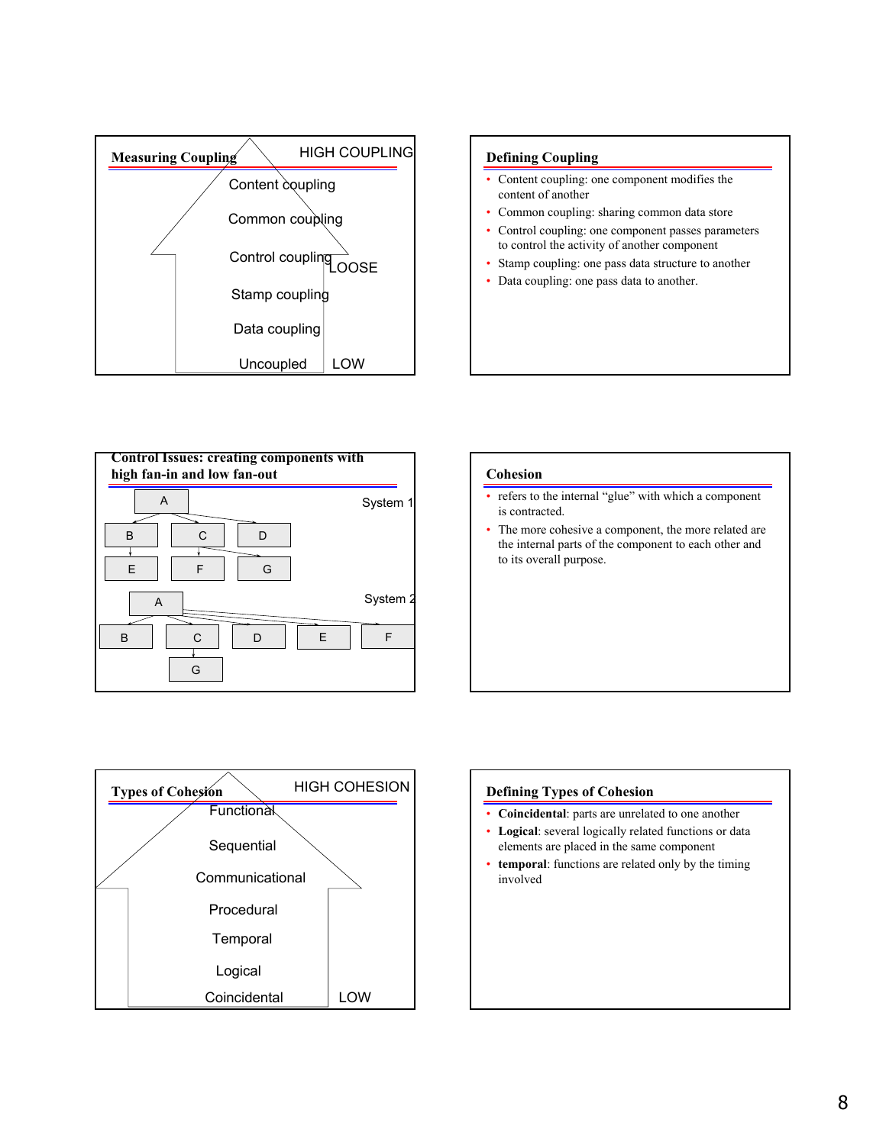





# **Cohesion**

• refers to the internal "glue" with which a component is contracted.

• The more cohesive a component, the more related are the internal parts of the component to each other and to its overall purpose.



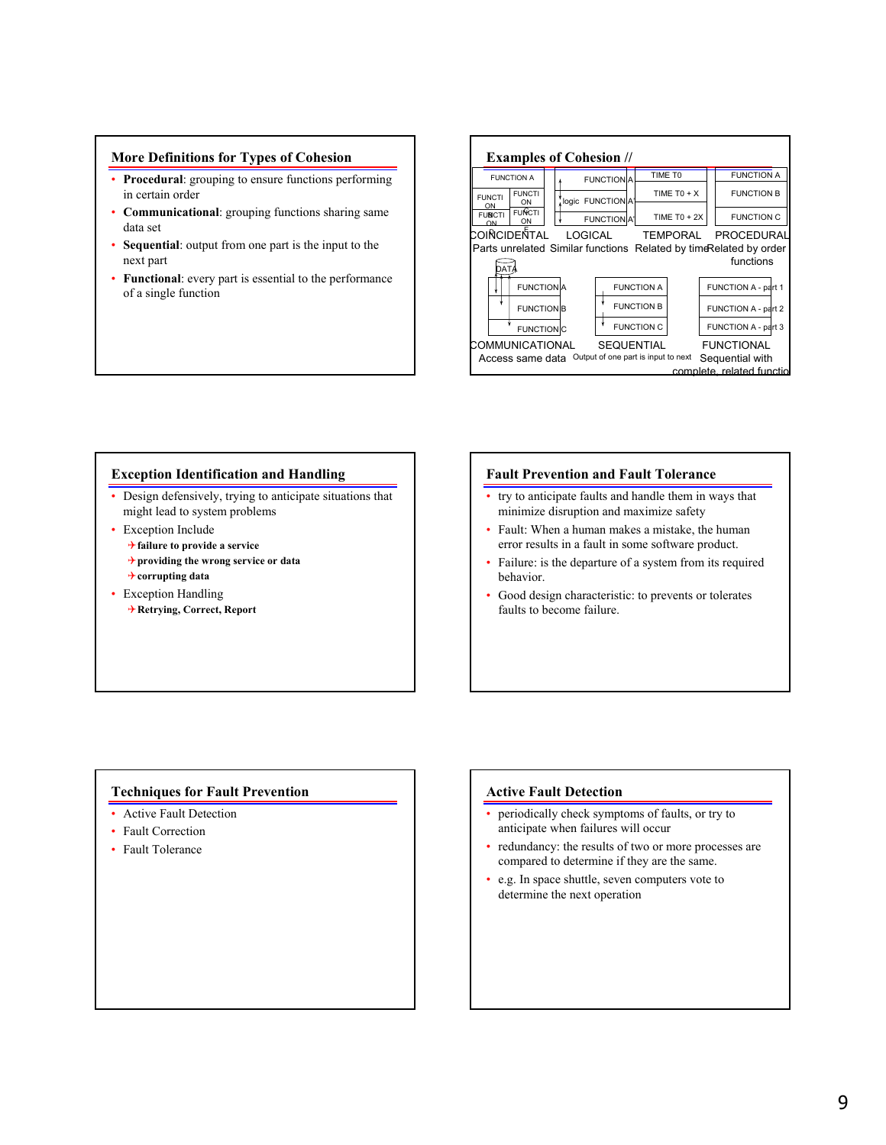# **More Definitions for Types of Cohesion**

- **Procedural**: grouping to ensure functions performing in certain order
- **Communicational**: grouping functions sharing same data set
- **Sequential**: output from one part is the input to the next part
- **Functional**: every part is essential to the performance of a single function

|                                                                                                                                                           | <b>FUNCTION A</b>   |                                     |  |                   | <b>FUNCTIONA</b>                    |                   | TIME TO             |  | <b>FUNCTION A</b>                    |  |
|-----------------------------------------------------------------------------------------------------------------------------------------------------------|---------------------|-------------------------------------|--|-------------------|-------------------------------------|-------------------|---------------------|--|--------------------------------------|--|
|                                                                                                                                                           | <b>FUNCTI</b><br>ON | <b>FUNCTI</b><br>ON                 |  |                   | logic FUNCTION A'                   |                   | TIME TO + $X$       |  | <b>FUNCTION B</b>                    |  |
|                                                                                                                                                           | <b>FUNCTI</b><br>ON | <b>FUNCTI</b><br>ON                 |  |                   | FUNCTION A'                         |                   | TIME T0 + $2X$      |  | <b>FUNCTION C</b>                    |  |
| COIÑCIDEÑTAL<br><b>LOGICAL</b><br>PROCEDURAL<br><b>TEMPORAL</b><br>Parts unrelated Similar functions Related by time Related by order<br>functions<br>DAT |                     |                                     |  |                   |                                     |                   |                     |  |                                      |  |
|                                                                                                                                                           |                     | <b>FUNCTION</b> A                   |  |                   |                                     | <b>FUNCTION A</b> |                     |  | FUNCTION A - part 1                  |  |
|                                                                                                                                                           | <b>FUNCTION</b> B   |                                     |  |                   | <b>FUNCTION B</b>                   |                   |                     |  | FUNCTION A - part 2                  |  |
|                                                                                                                                                           | <b>FUNCTION</b> C   |                                     |  | <b>FUNCTION C</b> |                                     |                   | FUNCTION A - part 3 |  |                                      |  |
|                                                                                                                                                           |                     | COMMUNICATIONAL<br>Access same data |  |                   | Output of one part is input to next | <b>SEQUENTIAL</b> |                     |  | <b>FUNCTIONAL</b><br>Sequential with |  |

# **Exception Identification and Handling**

- Design defensively, trying to anticipate situations that might lead to system problems
- Exception Include 4**failure to provide a service** 4**providing the wrong service or data** 4**corrupting data**
- Exception Handling 4**Retrying, Correct, Report**

# **Fault Prevention and Fault Tolerance**

- try to anticipate faults and handle them in ways that minimize disruption and maximize safety
- Fault: When a human makes a mistake, the human error results in a fault in some software product.
- Failure: is the departure of a system from its required behavior.
- Good design characteristic: to prevents or tolerates faults to become failure.

# **Techniques for Fault Prevention**

- Active Fault Detection
- Fault Correction
- Fault Tolerance

# **Active Fault Detection**

- periodically check symptoms of faults, or try to anticipate when failures will occur
- redundancy: the results of two or more processes are compared to determine if they are the same.
- e.g. In space shuttle, seven computers vote to determine the next operation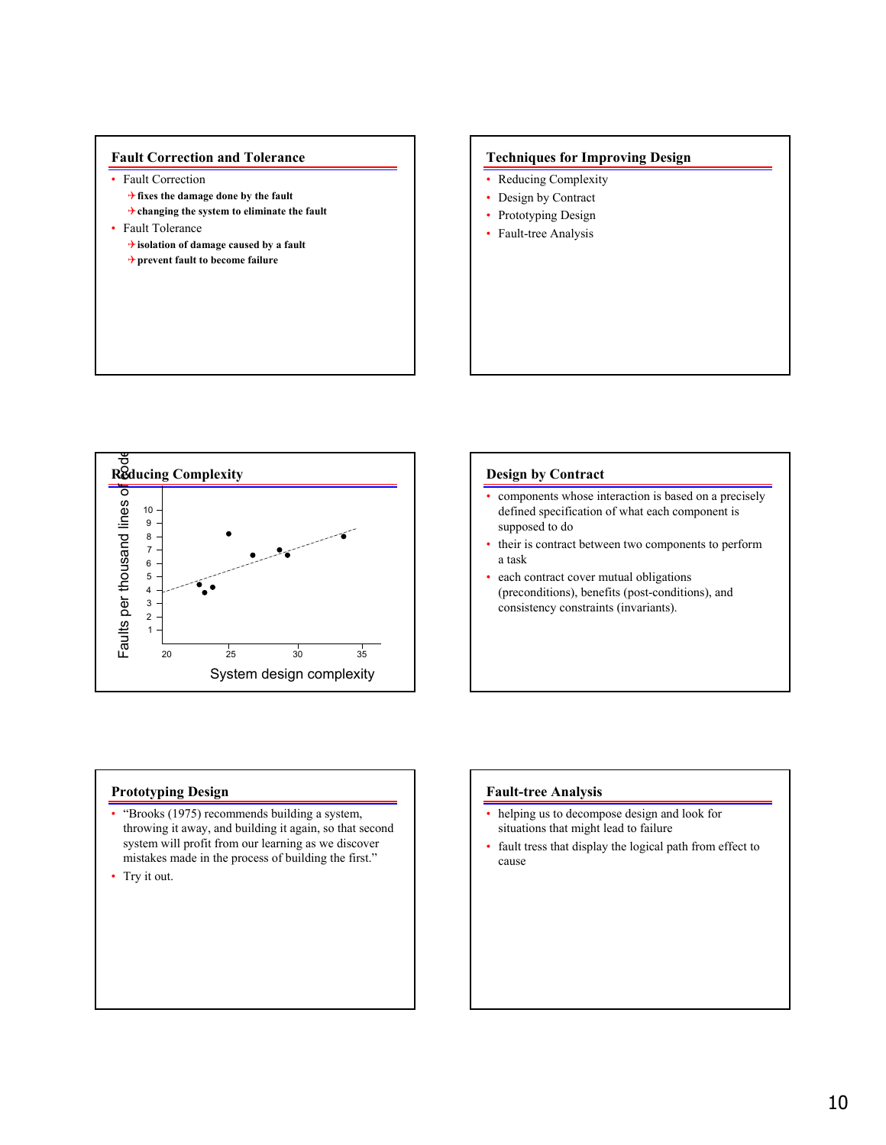

# **Techniques for Improving Design**

- Reducing Complexity
- Design by Contract
- Prototyping Design
- Fault-tree Analysis



### **Design by Contract**

- components whose interaction is based on a precisely defined specification of what each component is supposed to do
- their is contract between two components to perform a task
- each contract cover mutual obligations (preconditions), benefits (post-conditions), and consistency constraints (invariants).

# **Prototyping Design**

- "Brooks (1975) recommends building a system, throwing it away, and building it again, so that second system will profit from our learning as we discover mistakes made in the process of building the first."
- Try it out.

### **Fault-tree Analysis**

- helping us to decompose design and look for situations that might lead to failure
- fault tress that display the logical path from effect to cause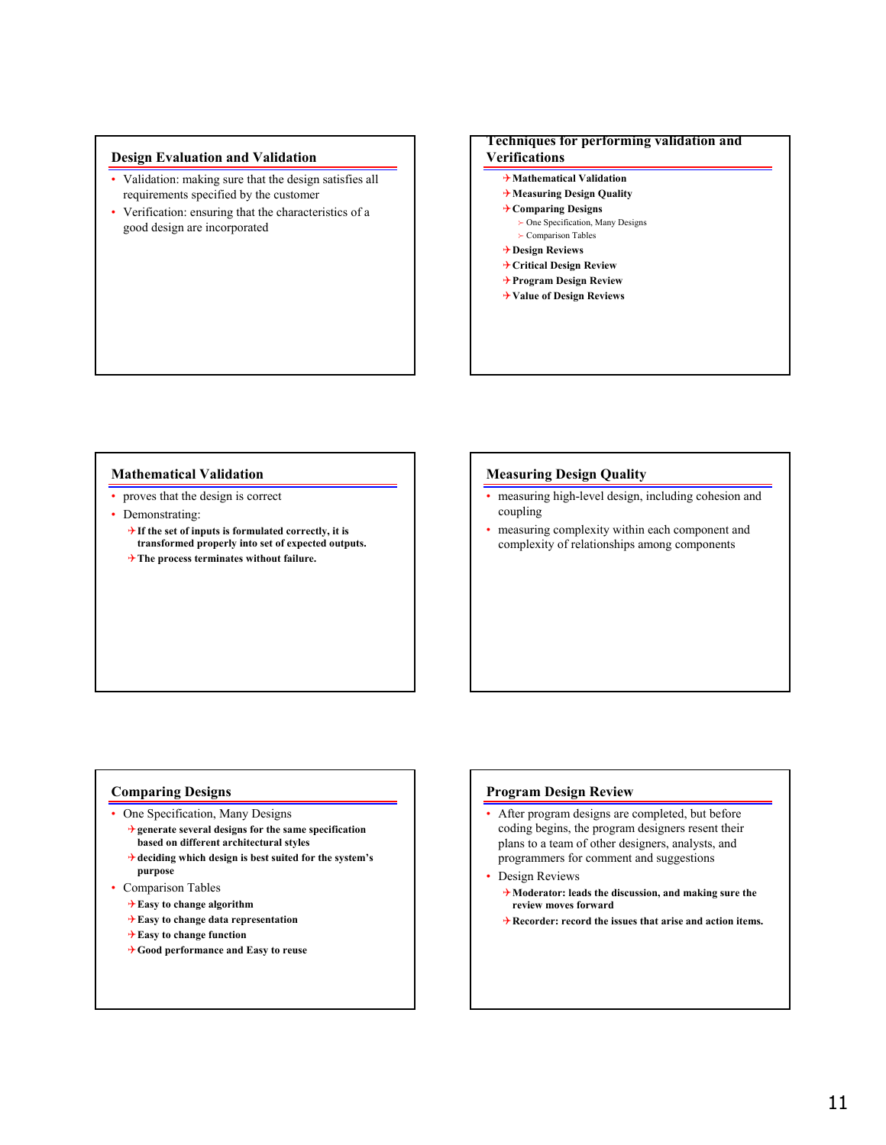## **Design Evaluation and Validation**

- Validation: making sure that the design satisfies all requirements specified by the customer
- Verification: ensuring that the characteristics of a good design are incorporated

# **Techniques for performing validation and**

# **Verifications**

- 4**Mathematical Validation**
- 4**Measuring Design Quality**
- 4**Comparing Designs**  $\succ$  One Specification, Many Designs
	- $\succ$  Comparison Tables
- 4**Design Reviews**
- 4**Critical Design Review**
- 4**Program Design Review**
- 4**Value of Design Reviews**

#### **Mathematical Validation**

- proves that the design is correct
- Demonstrating:
	- 4**If the set of inputs is formulated correctly, it is transformed properly into set of expected outputs.**
	- 4**The process terminates without failure.**

#### **Measuring Design Quality**

- measuring high-level design, including cohesion and coupling
- measuring complexity within each component and complexity of relationships among components

# **Comparing Designs**

- One Specification, Many Designs
	- 4**generate several designs for the same specification based on different architectural styles**
	- 4**deciding which design is best suited for the system's purpose**
- Comparison Tables
	- 4**Easy to change algorithm**
	- 4**Easy to change data representation**
	- 4**Easy to change function**
	- 4**Good performance and Easy to reuse**

# **Program Design Review**

- After program designs are completed, but before coding begins, the program designers resent their plans to a team of other designers, analysts, and programmers for comment and suggestions
- Design Reviews
	- 4**Moderator: leads the discussion, and making sure the review moves forward**
	- 4**Recorder: record the issues that arise and action items.**